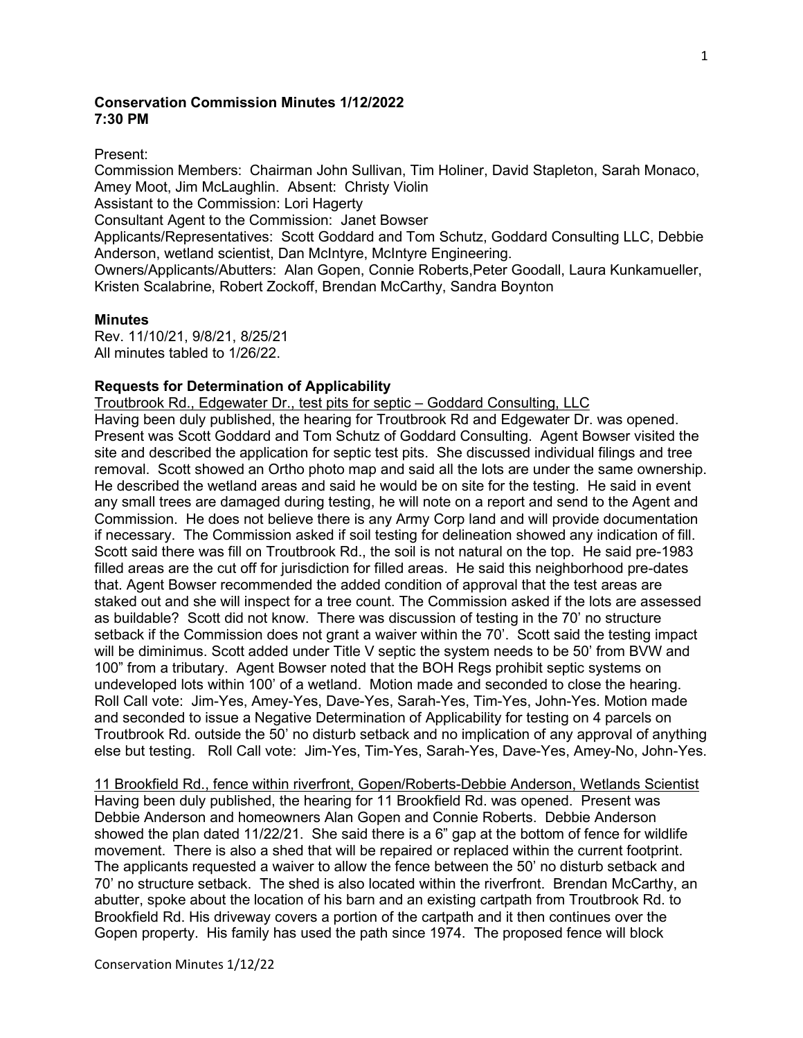## **Conservation Commission Minutes 1/12/2022 7:30 PM**

Present:

Commission Members: Chairman John Sullivan, Tim Holiner, David Stapleton, Sarah Monaco, Amey Moot, Jim McLaughlin. Absent: Christy Violin

Assistant to the Commission: Lori Hagerty

Consultant Agent to the Commission: Janet Bowser

Applicants/Representatives: Scott Goddard and Tom Schutz, Goddard Consulting LLC, Debbie Anderson, wetland scientist, Dan McIntyre, McIntyre Engineering.

Owners/Applicants/Abutters: Alan Gopen, Connie Roberts,Peter Goodall, Laura Kunkamueller, Kristen Scalabrine, Robert Zockoff, Brendan McCarthy, Sandra Boynton

### **Minutes**

Rev. 11/10/21, 9/8/21, 8/25/21 All minutes tabled to 1/26/22.

## **Requests for Determination of Applicability**

Troutbrook Rd., Edgewater Dr., test pits for septic – Goddard Consulting, LLC

Having been duly published, the hearing for Troutbrook Rd and Edgewater Dr. was opened. Present was Scott Goddard and Tom Schutz of Goddard Consulting. Agent Bowser visited the site and described the application for septic test pits. She discussed individual filings and tree removal. Scott showed an Ortho photo map and said all the lots are under the same ownership. He described the wetland areas and said he would be on site for the testing. He said in event any small trees are damaged during testing, he will note on a report and send to the Agent and Commission. He does not believe there is any Army Corp land and will provide documentation if necessary. The Commission asked if soil testing for delineation showed any indication of fill. Scott said there was fill on Troutbrook Rd., the soil is not natural on the top. He said pre-1983 filled areas are the cut off for jurisdiction for filled areas. He said this neighborhood pre-dates that. Agent Bowser recommended the added condition of approval that the test areas are staked out and she will inspect for a tree count. The Commission asked if the lots are assessed as buildable? Scott did not know. There was discussion of testing in the 70' no structure setback if the Commission does not grant a waiver within the 70'. Scott said the testing impact will be diminimus. Scott added under Title V septic the system needs to be 50' from BVW and 100" from a tributary. Agent Bowser noted that the BOH Regs prohibit septic systems on undeveloped lots within 100' of a wetland. Motion made and seconded to close the hearing. Roll Call vote: Jim-Yes, Amey-Yes, Dave-Yes, Sarah-Yes, Tim-Yes, John-Yes. Motion made and seconded to issue a Negative Determination of Applicability for testing on 4 parcels on Troutbrook Rd. outside the 50' no disturb setback and no implication of any approval of anything else but testing. Roll Call vote: Jim-Yes, Tim-Yes, Sarah-Yes, Dave-Yes, Amey-No, John-Yes.

11 Brookfield Rd., fence within riverfront, Gopen/Roberts-Debbie Anderson, Wetlands Scientist Having been duly published, the hearing for 11 Brookfield Rd. was opened. Present was Debbie Anderson and homeowners Alan Gopen and Connie Roberts. Debbie Anderson showed the plan dated 11/22/21. She said there is a 6" gap at the bottom of fence for wildlife movement. There is also a shed that will be repaired or replaced within the current footprint. The applicants requested a waiver to allow the fence between the 50' no disturb setback and 70' no structure setback. The shed is also located within the riverfront. Brendan McCarthy, an abutter, spoke about the location of his barn and an existing cartpath from Troutbrook Rd. to Brookfield Rd. His driveway covers a portion of the cartpath and it then continues over the Gopen property. His family has used the path since 1974. The proposed fence will block

Conservation Minutes 1/12/22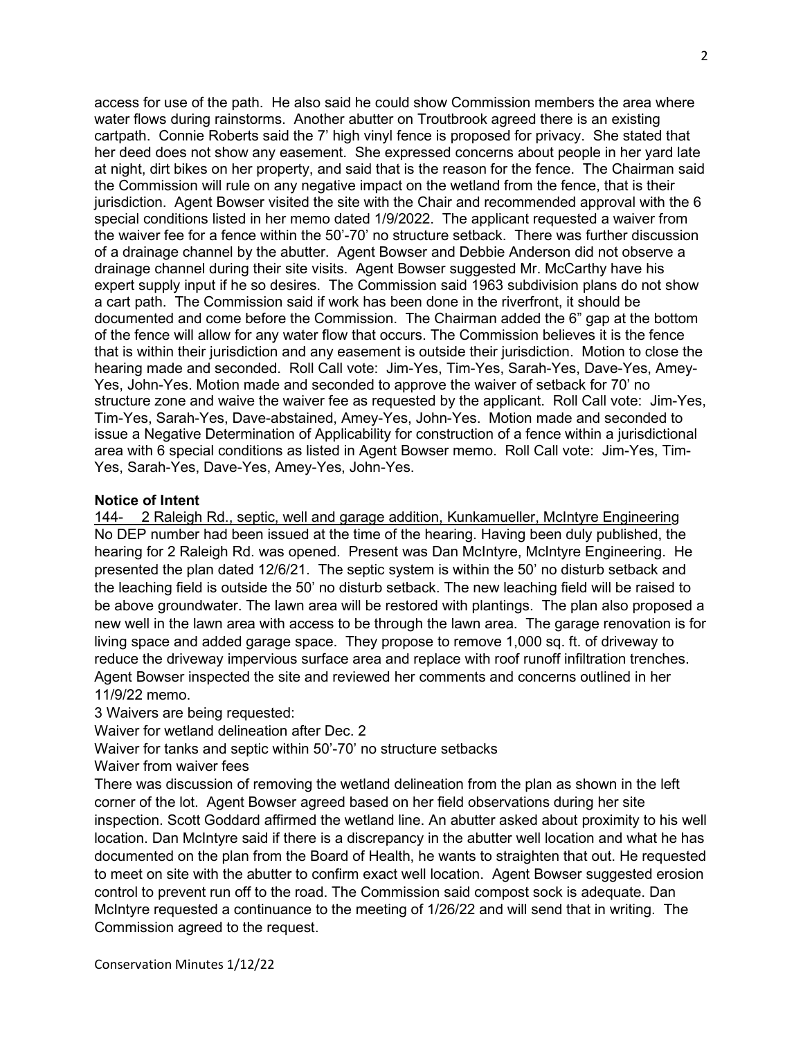access for use of the path. He also said he could show Commission members the area where water flows during rainstorms. Another abutter on Troutbrook agreed there is an existing cartpath. Connie Roberts said the 7' high vinyl fence is proposed for privacy. She stated that her deed does not show any easement. She expressed concerns about people in her yard late at night, dirt bikes on her property, and said that is the reason for the fence. The Chairman said the Commission will rule on any negative impact on the wetland from the fence, that is their jurisdiction. Agent Bowser visited the site with the Chair and recommended approval with the 6 special conditions listed in her memo dated 1/9/2022. The applicant requested a waiver from the waiver fee for a fence within the 50'-70' no structure setback. There was further discussion of a drainage channel by the abutter. Agent Bowser and Debbie Anderson did not observe a drainage channel during their site visits. Agent Bowser suggested Mr. McCarthy have his expert supply input if he so desires. The Commission said 1963 subdivision plans do not show a cart path. The Commission said if work has been done in the riverfront, it should be documented and come before the Commission. The Chairman added the 6" gap at the bottom of the fence will allow for any water flow that occurs. The Commission believes it is the fence that is within their jurisdiction and any easement is outside their jurisdiction. Motion to close the hearing made and seconded. Roll Call vote: Jim-Yes, Tim-Yes, Sarah-Yes, Dave-Yes, Amey-Yes, John-Yes. Motion made and seconded to approve the waiver of setback for 70' no structure zone and waive the waiver fee as requested by the applicant. Roll Call vote: Jim-Yes, Tim-Yes, Sarah-Yes, Dave-abstained, Amey-Yes, John-Yes. Motion made and seconded to issue a Negative Determination of Applicability for construction of a fence within a jurisdictional area with 6 special conditions as listed in Agent Bowser memo. Roll Call vote: Jim-Yes, Tim-Yes, Sarah-Yes, Dave-Yes, Amey-Yes, John-Yes.

### **Notice of Intent**

144- 2 Raleigh Rd., septic, well and garage addition, Kunkamueller, McIntyre Engineering No DEP number had been issued at the time of the hearing. Having been duly published, the hearing for 2 Raleigh Rd. was opened. Present was Dan McIntyre, McIntyre Engineering. He presented the plan dated 12/6/21. The septic system is within the 50' no disturb setback and the leaching field is outside the 50' no disturb setback. The new leaching field will be raised to be above groundwater. The lawn area will be restored with plantings. The plan also proposed a new well in the lawn area with access to be through the lawn area. The garage renovation is for living space and added garage space. They propose to remove 1,000 sq. ft. of driveway to reduce the driveway impervious surface area and replace with roof runoff infiltration trenches. Agent Bowser inspected the site and reviewed her comments and concerns outlined in her 11/9/22 memo.

3 Waivers are being requested:

Waiver for wetland delineation after Dec. 2

Waiver for tanks and septic within 50'-70' no structure setbacks

Waiver from waiver fees

There was discussion of removing the wetland delineation from the plan as shown in the left corner of the lot. Agent Bowser agreed based on her field observations during her site inspection. Scott Goddard affirmed the wetland line. An abutter asked about proximity to his well location. Dan McIntyre said if there is a discrepancy in the abutter well location and what he has documented on the plan from the Board of Health, he wants to straighten that out. He requested to meet on site with the abutter to confirm exact well location. Agent Bowser suggested erosion control to prevent run off to the road. The Commission said compost sock is adequate. Dan McIntyre requested a continuance to the meeting of 1/26/22 and will send that in writing. The Commission agreed to the request.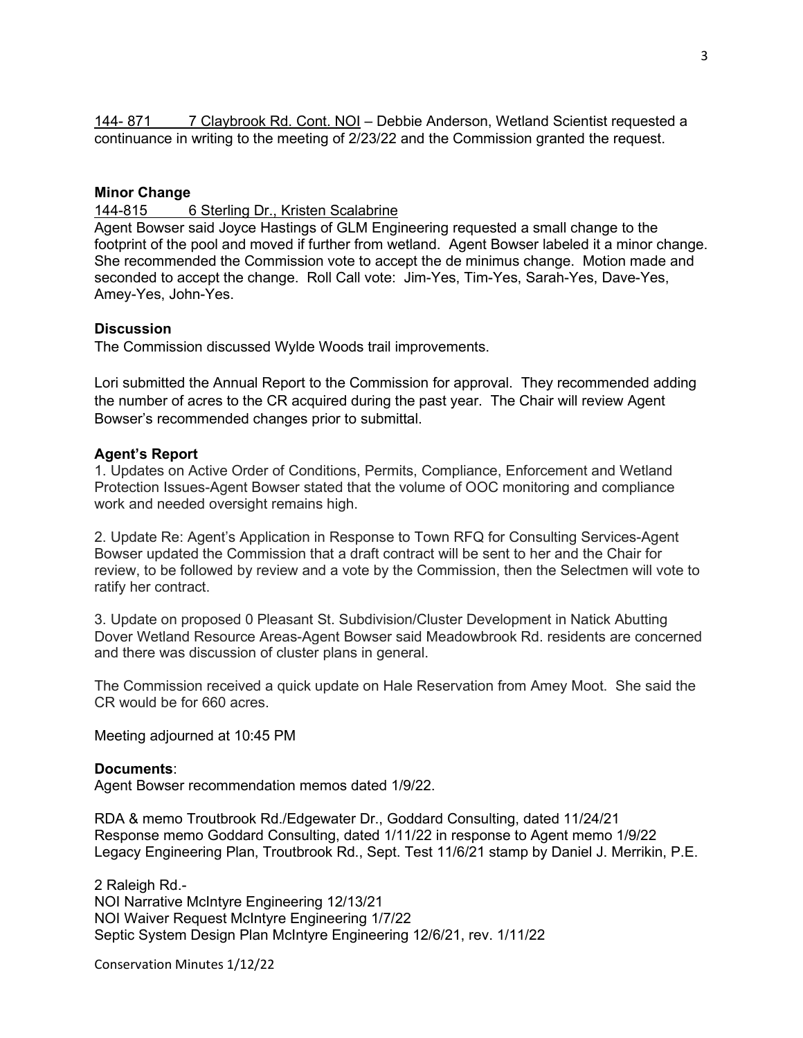144- 871 7 Claybrook Rd. Cont. NOI – Debbie Anderson, Wetland Scientist requested a continuance in writing to the meeting of 2/23/22 and the Commission granted the request.

# **Minor Change**

144-815 6 Sterling Dr., Kristen Scalabrine

Agent Bowser said Joyce Hastings of GLM Engineering requested a small change to the footprint of the pool and moved if further from wetland. Agent Bowser labeled it a minor change. She recommended the Commission vote to accept the de minimus change. Motion made and seconded to accept the change. Roll Call vote: Jim-Yes, Tim-Yes, Sarah-Yes, Dave-Yes, Amey-Yes, John-Yes.

### **Discussion**

The Commission discussed Wylde Woods trail improvements.

Lori submitted the Annual Report to the Commission for approval. They recommended adding the number of acres to the CR acquired during the past year. The Chair will review Agent Bowser's recommended changes prior to submittal.

### **Agent's Report**

1. Updates on Active Order of Conditions, Permits, Compliance, Enforcement and Wetland Protection Issues-Agent Bowser stated that the volume of OOC monitoring and compliance work and needed oversight remains high.

2. Update Re: Agent's Application in Response to Town RFQ for Consulting Services-Agent Bowser updated the Commission that a draft contract will be sent to her and the Chair for review, to be followed by review and a vote by the Commission, then the Selectmen will vote to ratify her contract.

3. Update on proposed 0 Pleasant St. Subdivision/Cluster Development in Natick Abutting Dover Wetland Resource Areas-Agent Bowser said Meadowbrook Rd. residents are concerned and there was discussion of cluster plans in general.

The Commission received a quick update on Hale Reservation from Amey Moot. She said the CR would be for 660 acres.

Meeting adjourned at 10:45 PM

### **Documents**:

Agent Bowser recommendation memos dated 1/9/22.

RDA & memo Troutbrook Rd./Edgewater Dr., Goddard Consulting, dated 11/24/21 Response memo Goddard Consulting, dated 1/11/22 in response to Agent memo 1/9/22 Legacy Engineering Plan, Troutbrook Rd., Sept. Test 11/6/21 stamp by Daniel J. Merrikin, P.E.

2 Raleigh Rd.- NOI Narrative McIntyre Engineering 12/13/21 NOI Waiver Request McIntyre Engineering 1/7/22 Septic System Design Plan McIntyre Engineering 12/6/21, rev. 1/11/22

Conservation Minutes 1/12/22